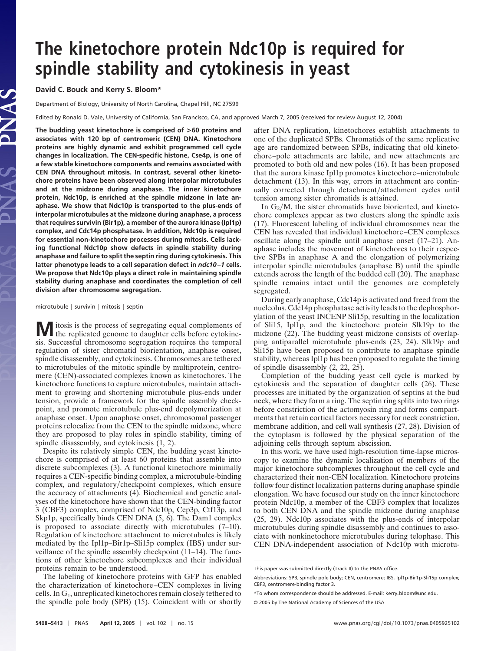## **The kinetochore protein Ndc10p is required for spindle stability and cytokinesis in yeast**

**David C. Bouck and Kerry S. Bloom\***

Department of Biology, University of North Carolina, Chapel Hill, NC 27599

Edited by Ronald D. Vale, University of California, San Francisco, CA, and approved March 7, 2005 (received for review August 12, 2004)

**The budding yeast kinetochore is comprised of >60 proteins and associates with 120 bp of centromeric (CEN) DNA. Kinetochore proteins are highly dynamic and exhibit programmed cell cycle changes in localization. The CEN-specific histone, Cse4p, is one of a few stable kinetochore components and remains associated with CEN DNA throughout mitosis. In contrast, several other kinetochore proteins have been observed along interpolar microtubules and at the midzone during anaphase. The inner kinetochore protein, Ndc10p, is enriched at the spindle midzone in late anaphase. We show that Ndc10p is transported to the plus-ends of interpolar microtubules at the midzone during anaphase, a process that requires survivin (Bir1p), a member of the aurora kinase (Ipl1p) complex, and Cdc14p phosphatase. In addition, Ndc10p is required for essential non-kinetochore processes during mitosis. Cells lacking functional Ndc10p show defects in spindle stability during anaphase and failure to split the septin ring during cytokinesis. This latter phenotype leads to a cell separation defect in** *ndc10 –1* **cells. We propose that Ndc10p plays a direct role in maintaining spindle stability during anaphase and coordinates the completion of cell division after chromosome segregation.**

 $microtubule | survival min | mitosis | septin$ 

**M** itosis is the process of segregating equal complements of the replicated genome to daughter cells before cytokinesis. Successful chromosome segregation requires the temporal regulation of sister chromatid biorientation, anaphase onset, spindle disassembly, and cytokinesis. Chromosomes are tethered to microtubules of the mitotic spindle by multiprotein, centromere (CEN)-associated complexes known as kinetochores. The kinetochore functions to capture microtubules, maintain attachment to growing and shortening microtubule plus-ends under tension, provide a framework for the spindle assembly checkpoint, and promote microtubule plus-end depolymerization at anaphase onset. Upon anaphase onset, chromosomal passenger proteins relocalize from the CEN to the spindle midzone, where they are proposed to play roles in spindle stability, timing of spindle disassembly, and cytokinesis (1, 2).

Despite its relatively simple CEN, the budding yeast kinetochore is comprised of at least 60 proteins that assemble into discrete subcomplexes (3). A functional kinetochore minimally requires a CEN-specific binding complex, a microtubule-binding complex, and regulatory/checkpoint complexes, which ensure the accuracy of attachments (4). Biochemical and genetic analyses of the kinetochore have shown that the CEN-binding factor 3 (CBF3) complex, comprised of Ndc10p, Cep3p, Ctf13p, and Skp1p, specifically binds CEN DNA (5, 6). The Dam1 complex is proposed to associate directly with microtubules (7–10). Regulation of kinetochore attachment to microtubules is likely mediated by the Ipl1p–Bir1p–Sli15p complex (IBS) under surveillance of the spindle assembly checkpoint (11–14). The functions of other kinetochore subcomplexes and their individual proteins remain to be understood.

The labeling of kinetochore proteins with GFP has enabled the characterization of kinetochore–CEN complexes in living cells. In G1, unreplicated kinetochores remain closely tethered to the spindle pole body (SPB) (15). Coincident with or shortly after DNA replication, kinetochores establish attachments to one of the duplicated SPBs. Chromatids of the same replicative age are randomized between SPBs, indicating that old kinetochore–pole attachments are labile, and new attachments are promoted to both old and new poles (16). It has been proposed that the aurora kinase Ipl1p promotes kinetochore–microtubule detachment (13). In this way, errors in attachment are continually corrected through detachment/attachment cycles until tension among sister chromatids is attained.

In  $G_2/M$ , the sister chromatids have bioriented, and kinetochore complexes appear as two clusters along the spindle axis (17). Fluorescent labeling of individual chromosomes near the CEN has revealed that individual kinetochore–CEN complexes oscillate along the spindle until anaphase onset (17–21). Anaphase includes the movement of kinetochores to their respective SPBs in anaphase A and the elongation of polymerizing interpolar spindle microtubules (anaphase B) until the spindle extends across the length of the budded cell (20). The anaphase spindle remains intact until the genomes are completely segregated.

During early anaphase, Cdc14p is activated and freed from the nucleolus. Cdc14p phosphatase activity leads to the dephosphorylation of the yeast INCENP Sli15p, resulting in the localization of Sli15, Ipl1p, and the kinetochore protein Slk19p to the midzone (22). The budding yeast midzone consists of overlapping antiparallel microtubule plus-ends (23, 24). Slk19p and Sli15p have been proposed to contribute to anaphase spindle stability, whereas Ipl1p has been proposed to regulate the timing of spindle disassembly (2, 22, 25).

Completion of the budding yeast cell cycle is marked by cytokinesis and the separation of daughter cells (26). These processes are initiated by the organization of septins at the bud neck, where they form a ring. The septin ring splits into two rings before constriction of the actomyosin ring and forms compartments that retain cortical factors necessary for neck constriction, membrane addition, and cell wall synthesis (27, 28). Division of the cytoplasm is followed by the physical separation of the adjoining cells through septum abscission.

In this work, we have used high-resolution time-lapse microscopy to examine the dynamic localization of members of the major kinetochore subcomplexes throughout the cell cycle and characterized their non-CEN localization. Kinetochore proteins follow four distinct localization patterns during anaphase spindle elongation. We have focused our study on the inner kinetochore protein Ndc10p, a member of the CBF3 complex that localizes to both CEN DNA and the spindle midzone during anaphase (25, 29). Ndc10p associates with the plus-ends of interpolar microtubules during spindle disassembly and continues to associate with nonkinetochore microtubules during telophase. This CEN DNA-independent association of Ndc10p with microtu-

This paper was submitted directly (Track II) to the PNAS office.

Abbreviations: SPB, spindle pole body; CEN, centromere; IBS, Ipl1p-Bir1p-Sli15p complex; CBF3, centromere-binding factor 3.

<sup>\*</sup>To whom correspondence should be addressed. E-mail: kerry\_bloom@unc.edu.

<sup>© 2005</sup> by The National Academy of Sciences of the USA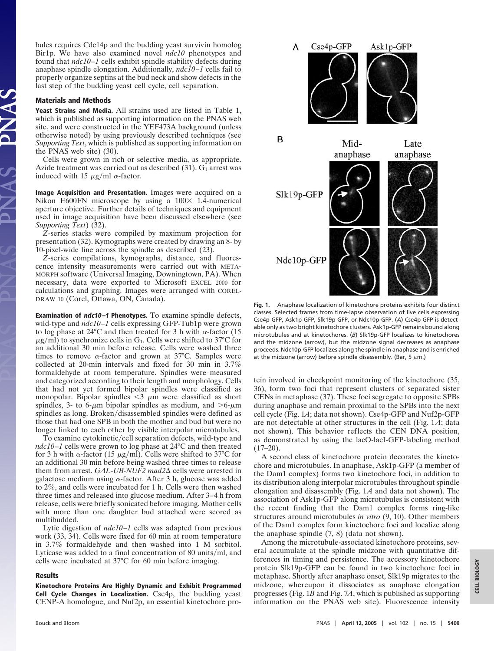bules requires Cdc14p and the budding yeast survivin homolog Bir1p. We have also examined novel *ndc10* phenotypes and found that *ndc10–1* cells exhibit spindle stability defects during anaphase spindle elongation. Additionally, *ndc10–1* cells fail to properly organize septins at the bud neck and show defects in the last step of the budding yeast cell cycle, cell separation.

## **Materials and Methods**

**Yeast Strains and Media.** All strains used are listed in Table 1, which is published as supporting information on the PNAS web site, and were constructed in the YEF473A background (unless otherwise noted) by using previously described techniques (see *Supporting Text*, which is published as supporting information on the PNAS web site) (30).

Cells were grown in rich or selective media, as appropriate. Azide treatment was carried out as described  $(31)$ .  $G_1$  arrest was induced with 15  $\mu$ g/ml  $\alpha$ -factor.

**Image Acquisition and Presentation.** Images were acquired on a Nikon E600FN microscope by using a  $100 \times 1.4$ -numerical aperture objective. Further details of techniques and equipment used in image acquisition have been discussed elsewhere (see *Supporting Text*) (32).

*Z*-series stacks were compiled by maximum projection for presentation (32). Kymographs were created by drawing an 8- by 10-pixel-wide line across the spindle as described (23).

*Z*-series compilations, kymographs, distance, and fluorescence intensity measurements were carried out with META-MORPH software (Universal Imaging, Downingtown, PA). When necessary, data were exported to Microsoft EXCEL 2000 for calculations and graphing. Images were arranged with COREL-DRAW 10 (Corel, Ottawa, ON, Canada).

**Examination of ndc10 –1 Phenotypes.** To examine spindle defects, wild-type and *ndc10–1* cells expressing GFP-Tub1p were grown to log phase at 24 $\rm ^{o}C$  and then treated for 3 h with  $\alpha$ -factor (15  $\mu$ g/ml) to synchronize cells in G<sub>1</sub>. Cells were shifted to 37°C for an additional 30 min before release. Cells were washed three times to remove  $\alpha$ -factor and grown at 37°C. Samples were collected at 20-min intervals and fixed for 30 min in 3.7% formaldehyde at room temperature. Spindles were measured and categorized according to their length and morphology. Cells that had not yet formed bipolar spindles were classified as monopolar. Bipolar spindles  $\leq$ 3  $\mu$ m were classified as short spindles, 3- to 6- $\mu$ m bipolar spindles as medium, and  $>6$ - $\mu$ m spindles as long. Broken/disassembled spindles were defined as those that had one SPB in both the mother and bud but were no longer linked to each other by visible interpolar microtubules.

To examine cytokinetic/cell separation defects, wild-type and *ndc10–1* cells were grown to log phase at 24°C and then treated for 3 h with  $\alpha$ -factor (15  $\mu$ g/ml). Cells were shifted to 37°C for an additional 30 min before being washed three times to release them from arrest. *GAL-UB-NUF2 mad2* $\Delta$  cells were arrested in galactose medium using  $\alpha$ -factor. After 3 h, glucose was added to 2%, and cells were incubated for 1 h. Cells were then washed three times and released into glucose medium. After 3–4 h from release, cells were briefly sonicated before imaging. Mother cells with more than one daughter bud attached were scored as multibudded.

Lytic digestion of *ndc10–1* cells was adapted from previous work (33, 34). Cells were fixed for 60 min at room temperature in 3.7% formaldehyde and then washed into 1 M sorbitol. Lyticase was added to a final concentration of 80 units/ml, and cells were incubated at 37°C for 60 min before imaging.

## **Results**

**Kinetochore Proteins Are Highly Dynamic and Exhibit Programmed Cell Cycle Changes in Localization.** Cse4p, the budding yeast CENP-A homologue, and Nuf2p, an essential kinetochore pro-



**Fig. 1.** Anaphase localization of kinetochore proteins exhibits four distinct classes. Selected frames from time-lapse observation of live cells expressing Cse4p-GFP, Ask1p-GFP, Slk19p-GFP, or Ndc10p-GFP. (*A*) Cse4p-GFP is detectable only as two bright kinetochore clusters. Ask1p-GFP remains bound along microtubules and at kinetochores. (*B*) Slk19p-GFP localizes to kinetochores and the midzone (arrow), but the midzone signal decreases as anaphase proceeds. Ndc10p-GFP localizes along the spindle in anaphase and is enriched at the midzone (arrow) before spindle disassembly. (Bar, 5  $\mu$ m.)

tein involved in checkpoint monitoring of the kinetochore (35, 36), form two foci that represent clusters of separated sister CENs in metaphase (37). These foci segregate to opposite SPBs during anaphase and remain proximal to the SPBs into the next cell cycle (Fig. 1*A*; data not shown). Cse4p-GFP and Nuf2p-GFP are not detectable at other structures in the cell (Fig. 1*A*; data not shown). This behavior reflects the CEN DNA position, as demonstrated by using the lacO-lacI-GFP-labeling method  $(17–20)$ .

A second class of kinetochore protein decorates the kinetochore and microtubules. In anaphase, Ask1p-GFP (a member of the Dam1 complex) forms two kinetochore foci, in addition to its distribution along interpolar microtubules throughout spindle elongation and disassembly (Fig. 1*A* and data not shown). The association of Ask1p-GFP along microtubules is consistent with the recent finding that the Dam1 complex forms ring-like structures around microtubules *in vitro* (9, 10). Other members of the Dam1 complex form kinetochore foci and localize along the anaphase spindle (7, 8) (data not shown).

Among the microtubule-associated kinetochore proteins, several accumulate at the spindle midzone with quantitative differences in timing and persistence. The accessory kinetochore protein Slk19p-GFP can be found in two kinetochore foci in metaphase. Shortly after anaphase onset, Slk19p migrates to the midzone, whereupon it dissociates as anaphase elongation progresses (Fig. 1*B* and Fig. 7*A*, which is published as supporting information on the PNAS web site). Fluorescence intensity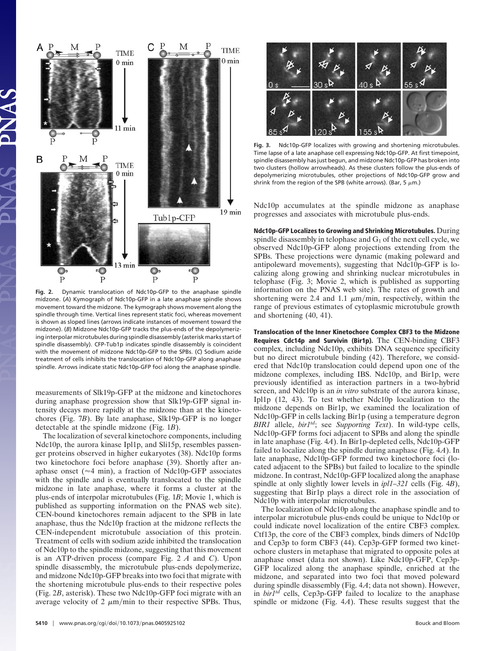

**Fig. 2.** Dynamic translocation of Ndc10p-GFP to the anaphase spindle midzone. (*A*) Kymograph of Ndc10p-GFP in a late anaphase spindle shows movement toward the midzone. The kymograph shows movement along the spindle through time. Vertical lines represent static foci, whereas movement is shown as sloped lines (arrows indicate instances of movement toward the midzone). (*B*) Midzone Ndc10p-GFP tracks the plus-ends of the depolymerizing interpolar microtubules during spindle disassembly (asterisk marks start of spindle disassembly). CFP-Tub1p indicates spindle disassembly is coincident with the movement of midzone Ndc10p-GFP to the SPBs. (*C*) Sodium azide treatment of cells inhibits the translocation of Ndc10p-GFP along anaphase spindle. Arrows indicate static Ndc10p-GFP foci along the anaphase spindle.

measurements of Slk19p-GFP at the midzone and kinetochores during anaphase progression show that Slk19p-GFP signal intensity decays more rapidly at the midzone than at the kinetochores (Fig. 7*B*). By late anaphase, Slk19p-GFP is no longer detectable at the spindle midzone (Fig. 1*B*).

The localization of several kinetochore components, including Ndc10p, the aurora kinase Ipl1p, and Sli15p, resembles passenger proteins observed in higher eukaryotes (38). Ndc10p forms two kinetochore foci before anaphase (39). Shortly after anaphase onset ( $\approx$ 4 min), a fraction of Ndc10p-GFP associates with the spindle and is eventually translocated to the spindle midzone in late anaphase, where it forms a cluster at the plus-ends of interpolar microtubules (Fig. 1*B*; Movie 1, which is published as supporting information on the PNAS web site). CEN-bound kinetochores remain adjacent to the SPB in late anaphase, thus the Ndc10p fraction at the midzone reflects the CEN-independent microtubule association of this protein. Treatment of cells with sodium azide inhibited the translocation of Ndc10p to the spindle midzone, suggesting that this movement is an ATP-driven process (compare Fig. 2 *A* and *C*). Upon spindle disassembly, the microtubule plus-ends depolymerize, and midzone Ndc10p-GFP breaks into two foci that migrate with the shortening microtubule plus-ends to their respective poles (Fig. 2*B*, asterisk). These two Ndc10p-GFP foci migrate with an average velocity of 2  $\mu$ m/min to their respective SPBs. Thus,



**Fig. 3.** Ndc10p-GFP localizes with growing and shortening microtubules. Time lapse of a late anaphase cell expressing Ndc10p-GFP. At first timepoint, spindle disassembly has just begun, and midzone Ndc10p-GFP has broken into two clusters (hollow arrowheads). As these clusters follow the plus-ends of depolymerizing microtubules, other projections of Ndc10p-GFP grow and shrink from the region of the SPB (white arrows). (Bar, 5  $\mu$ m.)

Ndc10p accumulates at the spindle midzone as anaphase progresses and associates with microtubule plus-ends.

**Ndc10p-GFP Localizes to Growing and Shrinking Microtubules.** During spindle disassembly in telophase and  $G_1$  of the next cell cycle, we observed Ndc10p-GFP along projections extending from the SPBs. These projections were dynamic (making poleward and antipoleward movements), suggesting that Ndc10p-GFP is localizing along growing and shrinking nuclear microtubules in telophase (Fig. 3; Movie 2, which is published as supporting information on the PNAS web site). The rates of growth and shortening were 2.4 and 1.1  $\mu$ m/min, respectively, within the range of previous estimates of cytoplasmic microtubule growth and shortening (40, 41).

**Translocation of the Inner Kinetochore Complex CBF3 to the Midzone Requires Cdc14p and Survivin (Bir1p).** The CEN-binding CBF3 complex, including Ndc10p, exhibits DNA sequence specificity but no direct microtubule binding (42). Therefore, we considered that Ndc10p translocation could depend upon one of the midzone complexes, including IBS. Ndc10p, and Bir1p, were previously identified as interaction partners in a two-hybrid screen, and Ndc10p is an *in vitro* substrate of the aurora kinase, Ipl1p (12, 43). To test whether Ndc10p localization to the midzone depends on Bir1p, we examined the localization of Ndc10p-GFP in cells lacking Bir1p (using a temperature degron *BIR1* allele, *bir1td*; see *Supporting Text*). In wild-type cells, Ndc10p-GFP forms foci adjacent to SPBs and along the spindle in late anaphase (Fig. 4*A*). In Bir1p-depleted cells, Ndc10p-GFP failed to localize along the spindle during anaphase (Fig. 4*A*). In late anaphase, Ndc10p-GFP formed two kinetochore foci (located adjacent to the SPBs) but failed to localize to the spindle midzone. In contrast, Ndc10p-GFP localized along the anaphase spindle at only slightly lower levels in *ipl1–321* cells (Fig. 4*B*), suggesting that Bir1p plays a direct role in the association of Ndc10p with interpolar microtubules.

The localization of Ndc10p along the anaphase spindle and to interpolar microtubule plus-ends could be unique to Ndc10p or could indicate novel localization of the entire CBF3 complex. Ctf13p, the core of the CBF3 complex, binds dimers of Ndc10p and Cep3p to form CBF3 (44). Cep3p-GFP formed two kinetochore clusters in metaphase that migrated to opposite poles at anaphase onset (data not shown). Like Ndc10p-GFP, Cep3p-GFP localized along the anaphase spindle, enriched at the midzone, and separated into two foci that moved poleward during spindle disassembly (Fig. 4*A*; data not shown). However, in *bir1td* cells, Cep3p-GFP failed to localize to the anaphase spindle or midzone (Fig. 4*A*). These results suggest that the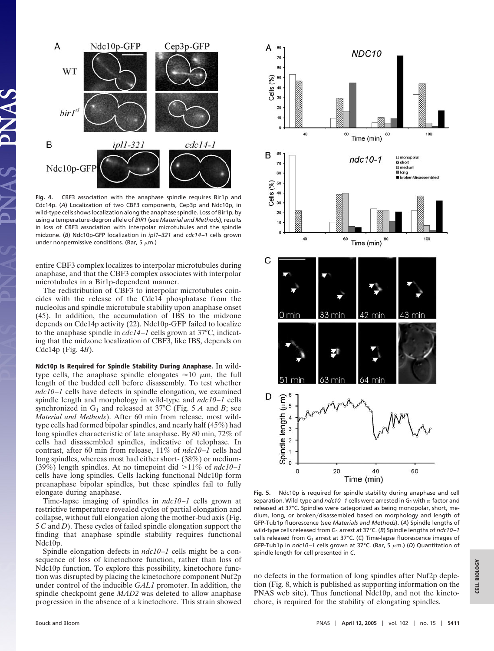

**Fig. 4.** CBF3 association with the anaphase spindle requires Bir1p and Cdc14p. (*A*) Localization of two CBF3 components, Cep3p and Ndc10p, in wild-type cells shows localization along the anaphase spindle. Loss of Bir1p, by using a temperature-degron allele of *BIR1* (see *Material and Methods*), results in loss of CBF3 association with interpolar microtubules and the spindle midzone. (*B*) Ndc10p-GFP localization in *ipl1–321* and *cdc14 –1* cells grown under nonpermissive conditions. (Bar, 5  $\mu$ m.)

entire CBF3 complex localizes to interpolar microtubules during anaphase, and that the CBF3 complex associates with interpolar microtubules in a Bir1p-dependent manner.

The redistribution of CBF3 to interpolar microtubules coincides with the release of the Cdc14 phosphatase from the nucleolus and spindle microtubule stability upon anaphase onset (45). In addition, the accumulation of IBS to the midzone depends on Cdc14p activity (22). Ndc10p-GFP failed to localize to the anaphase spindle in *cdc14–1* cells grown at 37°C, indicating that the midzone localization of CBF3, like IBS, depends on Cdc14p (Fig. 4*B*).

**Ndc10p Is Required for Spindle Stability During Anaphase.** In wildtype cells, the anaphase spindle elongates  $\approx 10 \mu$ m, the full length of the budded cell before disassembly. To test whether *ndc10–1* cells have defects in spindle elongation, we examined spindle length and morphology in wild-type and *ndc10–1* cells synchronized in  $G_1$  and released at 37°C (Fig. 5 *A* and *B*; see *Material and Methods*). After 60 min from release, most wildtype cells had formed bipolar spindles, and nearly half (45%) had long spindles characteristic of late anaphase. By 80 min, 72% of cells had disassembled spindles, indicative of telophase. In contrast, after 60 min from release, 11% of *ndc10–1* cells had long spindles, whereas most had either short- (38%) or medium- (39%) length spindles. At no timepoint did  $>11\%$  of  $ndc10-1$ cells have long spindles. Cells lacking functional Ndc10p form preanaphase bipolar spindles, but these spindles fail to fully elongate during anaphase.

Time-lapse imaging of spindles in *ndc10–1* cells grown at restrictive temperature revealed cycles of partial elongation and collapse, without full elongation along the mother-bud axis (Fig. 5 *C* and *D*). These cycles of failed spindle elongation support the finding that anaphase spindle stability requires functional Ndc10p.

Spindle elongation defects in *ndc10–1* cells might be a consequence of loss of kinetochore function, rather than loss of Ndc10p function. To explore this possibility, kinetochore function was disrupted by placing the kinetochore component Nuf2p under control of the inducible *GAL1* promoter. In addition, the spindle checkpoint gene *MAD2* was deleted to allow anaphase progression in the absence of a kinetochore. This strain showed



**Fig. 5.** Ndc10p is required for spindle stability during anaphase and cell separation. Wild-type and  $ndc$ 10–1 cells were arrested in G<sub>1</sub> with  $\alpha$ -factor and released at 37°C. Spindles were categorized as being monopolar, short, medium, long, or broken/disassembled based on morphology and length of GFP-Tub1p fluorescence (see *Materials and Methods*). (*A*) Spindle lengths of wild-type cells released from G<sub>1</sub> arrest at 37°C. (*B*) Spindle lengths of *ndc10-1* cells released from G<sub>1</sub> arrest at 37°C. (C) Time-lapse fluorescence images of GFP-Tub1p in *ndc10-1* cells grown at 37°C. (Bar, 5  $\mu$ m.) (D) Quantitation of spindle length for cell presented in *C*.

no defects in the formation of long spindles after Nuf2p depletion (Fig. 8, which is published as supporting information on the PNAS web site). Thus functional Ndc10p, and not the kinetochore, is required for the stability of elongating spindles.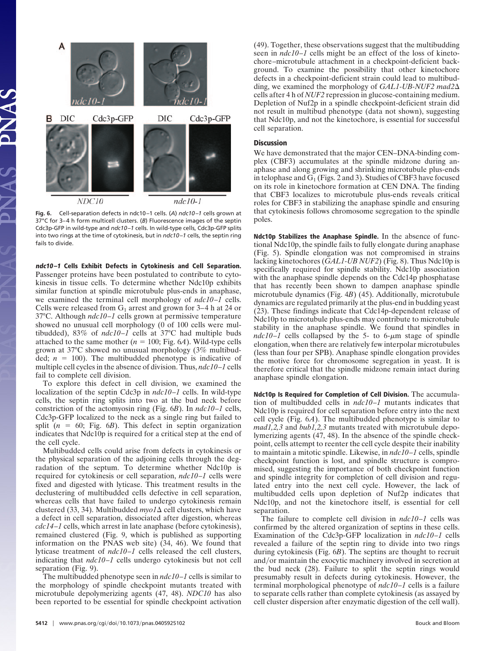

**Fig. 6.** Cell-separation defects in ndc10 –1 cells. (*A*) *ndc10 –1* cells grown at 37°C for 3-4 h form multicell clusters. (B) Fluorescence images of the septin Cdc3p-GFP in wild-type and *ndc10 –1* cells. In wild-type cells, Cdc3p-GFP splits into two rings at the time of cytokinesis, but in *ndc10 –1* cells, the septin ring fails to divide.

**ndc10 –1 Cells Exhibit Defects in Cytokinesis and Cell Separation.** Passenger proteins have been postulated to contribute to cytokinesis in tissue cells. To determine whether Ndc10p exhibits similar function at spindle microtubule plus-ends in anaphase, we examined the terminal cell morphology of *ndc10–1* cells. Cells were released from  $G_1$  arrest and grown for 3–4 h at 24 or 37°C. Although *ndc10–1* cells grown at permissive temperature showed no unusual cell morphology (0 of 100 cells were multibudded), 83% of *ndc10–1* cells at 37°C had multiple buds attached to the same mother  $(n = 100; Fig. 6A)$ . Wild-type cells grown at 37°C showed no unusual morphology (3% multibudded;  $n = 100$ ). The multibudded phenotype is indicative of multiple cell cycles in the absence of division. Thus, *ndc10–1* cells fail to complete cell division.

To explore this defect in cell division, we examined the localization of the septin Cdc3p in *ndc10–1* cells. In wild-type cells, the septin ring splits into two at the bud neck before constriction of the actomyosin ring (Fig. 6*B*). In *ndc10–1* cells, Cdc3p-GFP localized to the neck as a single ring but failed to split  $(n = 60;$  Fig.  $6B)$ . This defect in septin organization indicates that Ndc10p is required for a critical step at the end of the cell cycle.

Multibudded cells could arise from defects in cytokinesis or the physical separation of the adjoining cells through the degradation of the septum. To determine whether Ndc10p is required for cytokinesis or cell separation, *ndc10–1* cells were fixed and digested with lyticase. This treatment results in the declustering of multibudded cells defective in cell separation, whereas cells that have failed to undergo cytokinesis remain clustered (33, 34). Multibudded  $mpo1\Delta$  cell clusters, which have a defect in cell separation, dissociated after digestion, whereas *cdc14–1* cells, which arrest in late anaphase (before cytokinesis), remained clustered (Fig. 9, which is published as supporting information on the PNAS web site) (34, 46). We found that lyticase treatment of *ndc10–1* cells released the cell clusters, indicating that *ndc10–1* cells undergo cytokinesis but not cell separation (Fig. 9).

The multibudded phenotype seen in *ndc10–1* cells is similar to the morphology of spindle checkpoint mutants treated with microtubule depolymerizing agents (47, 48). *NDC10* has also been reported to be essential for spindle checkpoint activation (49). Together, these observations suggest that the multibudding seen in *ndc10–1* cells might be an effect of the loss of kinetochore–microtubule attachment in a checkpoint-deficient background. To examine the possibility that other kinetochore defects in a checkpoint-deficient strain could lead to multibudding, we examined the morphology of *GAL1-UB-NUF2 mad2* cells after 4 h of *NUF2* repression in glucose-containing medium. Depletion of Nuf2p in a spindle checkpoint-deficient strain did not result in multibud phenotype (data not shown), suggesting that Ndc10p, and not the kinetochore, is essential for successful cell separation.

## **Discussion**

We have demonstrated that the major CEN–DNA-binding complex (CBF3) accumulates at the spindle midzone during anaphase and along growing and shrinking microtubule plus-ends in telophase and  $G_1$  (Figs. 2 and 3). Studies of CBF3 have focused on its role in kinetochore formation at CEN DNA. The finding that CBF3 localizes to microtubule plus-ends reveals critical roles for CBF3 in stabilizing the anaphase spindle and ensuring that cytokinesis follows chromosome segregation to the spindle poles.

**Ndc10p Stabilizes the Anaphase Spindle.** In the absence of functional Ndc10p, the spindle fails to fully elongate during anaphase (Fig. 5). Spindle elongation was not compromised in strains lacking kinetochores (*GAL1-UB NUF2*) (Fig. 8). Thus Ndc10p is specifically required for spindle stability. Ndc10p association with the anaphase spindle depends on the Cdc14p phosphatase that has recently been shown to dampen anaphase spindle microtubule dynamics (Fig. 4*B*) (45). Additionally, microtubule dynamics are regulated primarily at the plus-end in budding yeast (23). These findings indicate that Cdc14p-dependent release of Ndc10p to microtubule plus-ends may contribute to microtubule stability in the anaphase spindle. We found that spindles in  $ndc10-1$  cells collapsed by the 5- to 6- $\mu$ m stage of spindle elongation, when there are relatively few interpolar microtubules (less than four per SPB). Anaphase spindle elongation provides the motive force for chromosome segregation in yeast. It is therefore critical that the spindle midzone remain intact during anaphase spindle elongation.

**Ndc10p Is Required for Completion of Cell Division.** The accumulation of multibudded cells in *ndc10–1* mutants indicates that Ndc10p is required for cell separation before entry into the next cell cycle (Fig. 6*A*). The multibudded phenotype is similar to *mad1,2,3* and *bub1,2,3* mutants treated with microtubule depolymerizing agents (47, 48). In the absence of the spindle checkpoint, cells attempt to reenter the cell cycle despite their inability to maintain a mitotic spindle. Likewise, in *ndc10–1* cells, spindle checkpoint function is lost, and spindle structure is compromised, suggesting the importance of both checkpoint function and spindle integrity for completion of cell division and regulated entry into the next cell cycle. However, the lack of multibudded cells upon depletion of Nuf2p indicates that Ndc10p, and not the kinetochore itself, is essential for cell separation.

The failure to complete cell division in *ndc10–1* cells was confirmed by the altered organization of septins in these cells. Examination of the Cdc3p-GFP localization in *ndc10–1* cells revealed a failure of the septin ring to divide into two rings during cytokinesis (Fig. 6*B*). The septins are thought to recruit and/or maintain the exocytic machinery involved in secretion at the bud neck (28). Failure to split the septin rings would presumably result in defects during cytokinesis. However, the terminal morphological phenotype of *ndc10–1* cells is a failure to separate cells rather than complete cytokinesis (as assayed by cell cluster dispersion after enzymatic digestion of the cell wall).